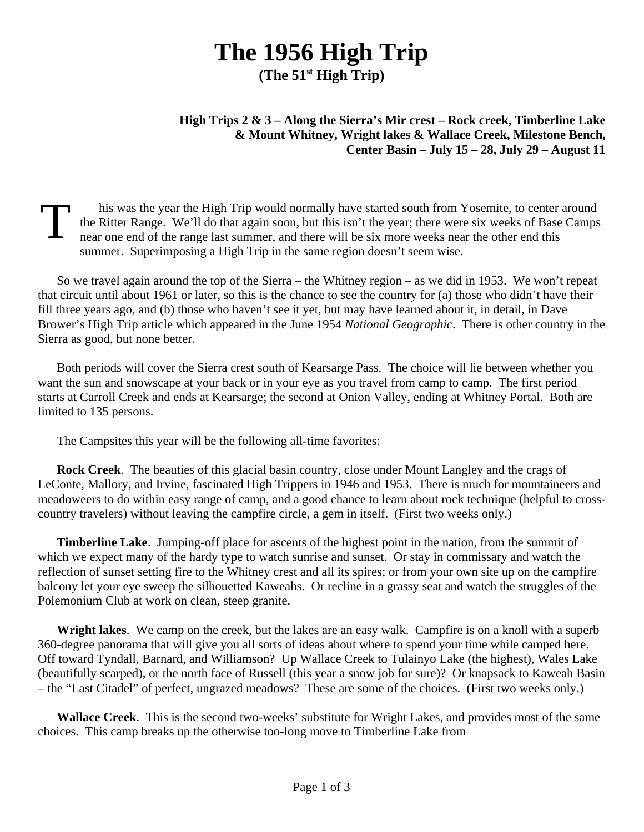## **The 1956 High Trip**

**(The 51st High Trip)**

## **High Trips 2 & 3 – Along the Sierra's Mir crest – Rock creek, Timberline Lake & Mount Whitney, Wright lakes & Wallace Creek, Milestone Bench, Center Basin – July 15 – 28, July 29 – August 11**

T his was the year the High Trip would normally have started south from Yosemite, to center around the Ritter Range. We'll do that again soon, but this isn't the year; there were six weeks of Base Camps near one end of the range last summer, and there will be six more weeks near the other end this summer. Superimposing a High Trip in the same region doesn't seem wise.

So we travel again around the top of the Sierra – the Whitney region – as we did in 1953. We won't repeat that circuit until about 1961 or later, so this is the chance to see the country for (a) those who didn't have their fill three years ago, and (b) those who haven't see it yet, but may have learned about it, in detail, in Dave Brower's High Trip article which appeared in the June 1954 *National Geographic*. There is other country in the Sierra as good, but none better.

Both periods will cover the Sierra crest south of Kearsarge Pass. The choice will lie between whether you want the sun and snowscape at your back or in your eye as you travel from camp to camp. The first period starts at Carroll Creek and ends at Kearsarge; the second at Onion Valley, ending at Whitney Portal. Both are limited to 135 persons.

The Campsites this year will be the following all-time favorites:

**Rock Creek**. The beauties of this glacial basin country, close under Mount Langley and the crags of LeConte, Mallory, and Irvine, fascinated High Trippers in 1946 and 1953. There is much for mountaineers and meadoweers to do within easy range of camp, and a good chance to learn about rock technique (helpful to crosscountry travelers) without leaving the campfire circle, a gem in itself. (First two weeks only.)

**Timberline Lake**. Jumping-off place for ascents of the highest point in the nation, from the summit of which we expect many of the hardy type to watch sunrise and sunset. Or stay in commissary and watch the reflection of sunset setting fire to the Whitney crest and all its spires; or from your own site up on the campfire balcony let your eye sweep the silhouetted Kaweahs. Or recline in a grassy seat and watch the struggles of the Polemonium Club at work on clean, steep granite.

**Wright lakes**. We camp on the creek, but the lakes are an easy walk. Campfire is on a knoll with a superb 360-degree panorama that will give you all sorts of ideas about where to spend your time while camped here. Off toward Tyndall, Barnard, and Williamson? Up Wallace Creek to Tulainyo Lake (the highest), Wales Lake (beautifully scarped), or the north face of Russell (this year a snow job for sure)? Or knapsack to Kaweah Basin – the "Last Citadel" of perfect, ungrazed meadows? These are some of the choices. (First two weeks only.)

**Wallace Creek**. This is the second two-weeks' substitute for Wright Lakes, and provides most of the same choices. This camp breaks up the otherwise too-long move to Timberline Lake from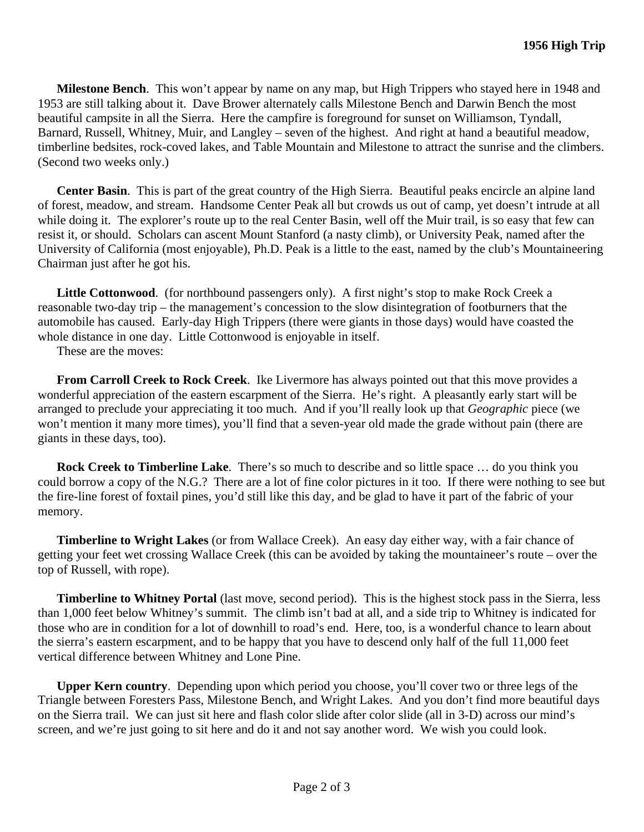**Milestone Bench**. This won't appear by name on any map, but High Trippers who stayed here in 1948 and 1953 are still talking about it. Dave Brower alternately calls Milestone Bench and Darwin Bench the most beautiful campsite in all the Sierra. Here the campfire is foreground for sunset on Williamson, Tyndall, Barnard, Russell, Whitney, Muir, and Langley – seven of the highest. And right at hand a beautiful meadow, timberline bedsites, rock-coved lakes, and Table Mountain and Milestone to attract the sunrise and the climbers. (Second two weeks only.)

**Center Basin**. This is part of the great country of the High Sierra. Beautiful peaks encircle an alpine land of forest, meadow, and stream. Handsome Center Peak all but crowds us out of camp, yet doesn't intrude at all while doing it. The explorer's route up to the real Center Basin, well off the Muir trail, is so easy that few can resist it, or should. Scholars can ascent Mount Stanford (a nasty climb), or University Peak, named after the University of California (most enjoyable), Ph.D. Peak is a little to the east, named by the club's Mountaineering Chairman just after he got his.

**Little Cottonwood**. (for northbound passengers only). A first night's stop to make Rock Creek a reasonable two-day trip – the management's concession to the slow disintegration of footburners that the automobile has caused. Early-day High Trippers (there were giants in those days) would have coasted the whole distance in one day. Little Cottonwood is enjoyable in itself.

These are the moves:

**From Carroll Creek to Rock Creek**. Ike Livermore has always pointed out that this move provides a wonderful appreciation of the eastern escarpment of the Sierra. He's right. A pleasantly early start will be arranged to preclude your appreciating it too much. And if you'll really look up that *Geographic* piece (we won't mention it many more times), you'll find that a seven-year old made the grade without pain (there are giants in these days, too).

**Rock Creek to Timberline Lake**. There's so much to describe and so little space … do you think you could borrow a copy of the N.G.? There are a lot of fine color pictures in it too. If there were nothing to see but the fire-line forest of foxtail pines, you'd still like this day, and be glad to have it part of the fabric of your memory.

**Timberline to Wright Lakes** (or from Wallace Creek). An easy day either way, with a fair chance of getting your feet wet crossing Wallace Creek (this can be avoided by taking the mountaineer's route – over the top of Russell, with rope).

**Timberline to Whitney Portal** (last move, second period). This is the highest stock pass in the Sierra, less than 1,000 feet below Whitney's summit. The climb isn't bad at all, and a side trip to Whitney is indicated for those who are in condition for a lot of downhill to road's end. Here, too, is a wonderful chance to learn about the sierra's eastern escarpment, and to be happy that you have to descend only half of the full 11,000 feet vertical difference between Whitney and Lone Pine.

**Upper Kern country**. Depending upon which period you choose, you'll cover two or three legs of the Triangle between Foresters Pass, Milestone Bench, and Wright Lakes. And you don't find more beautiful days on the Sierra trail. We can just sit here and flash color slide after color slide (all in 3-D) across our mind's screen, and we're just going to sit here and do it and not say another word. We wish you could look.